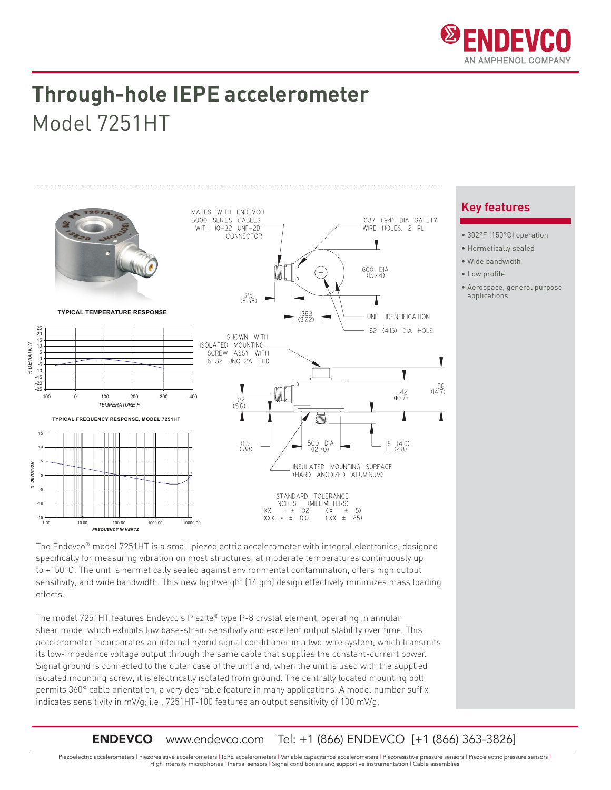

## **Through-hole IEPE accelerometer** Model 7251HT



The Endevco® model 7251HT is a small piezoelectric accelerometer with integral electronics, designed specifically for measuring vibration on most structures, at moderate temperatures continuously up to +150°C. The unit is hermetically sealed against environmental contamination, offers high output sensitivity, and wide bandwidth. This new lightweight (14 gm) design effectively minimizes mass loading effects.

The model 7251HT features Endevco's Piezite® type P-8 crystal element, operating in annular shear mode, which exhibits low base-strain sensitivity and excellent output stability over time. This accelerometer incorporates an internal hybrid signal conditioner in a two-wire system, which transmits its low-impedance voltage output through the same cable that supplies the constant-current power. Signal ground is connected to the outer case of the unit and, when the unit is used with the supplied isolated mounting screw, it is electrically isolated from ground. The centrally located mounting bolt permits 360° cable orientation, a very desirable feature in many applications. A model number suffix indicates sensitivity in mV/g; i.e., 7251HT-100 features an output sensitivity of 100 mV/g.

### **Key features**

- 302°F (150°C) operation
- Hermetically sealed
- Wide bandwidth
- Low profile
- Aerospace, general purpose applications

### **ENDEVCO** www.endevco.com Tel: +1 (866) ENDEVCO [+1 (866) 363-3826]

Piezoelectric accelerometers | Piezoresistive accelerometers | IEPE accelerometers | Variable capacitance accelerometers | Piezoresistive pressure sensors | Piezoelectric pressure sensors | High intensity microphones | Inertial sensors | Signal conditioners and supportive instrumentation | Cable assemblies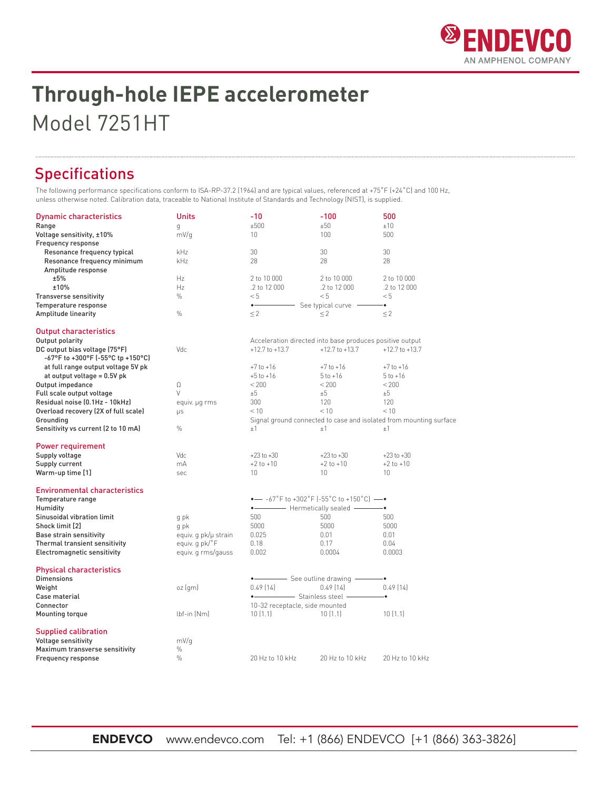

# **Through-hole IEPE accelerometer** Model 7251HT

## Specifications

The following performance specifications conform to ISA-RP-37.2 (1964) and are typical values, referenced at +75˚F (+24˚C) and 100 Hz, unless otherwise noted. Calibration data, traceable to National Institute of Standards and Technology (NIST), is supplied.

| <b>Dynamic characteristics</b>                                      | Units                                | $-10$                                                    | -100                                                               | 500                |  |
|---------------------------------------------------------------------|--------------------------------------|----------------------------------------------------------|--------------------------------------------------------------------|--------------------|--|
| Range                                                               | q                                    | ±500                                                     | ±50                                                                | ±10                |  |
| Voltage sensitivity, ±10%<br>Frequency response                     | mV/q                                 | 10 <sup>°</sup>                                          | 100                                                                | 500                |  |
| Resonance frequency typical                                         | kHz                                  | 30                                                       | 30                                                                 | 30                 |  |
| Resonance frequency minimum                                         | kHz                                  | 28                                                       | 28                                                                 | 28                 |  |
| Amplitude response                                                  |                                      |                                                          |                                                                    |                    |  |
| ±5%                                                                 | Hz                                   | 2 to 10 000                                              | 2 to 10 000                                                        | 2 to 10 000        |  |
| ±10%                                                                | Hz                                   | .2 to 12 000                                             | .2 to 12 000                                                       | .2 to 12 000       |  |
| <b>Transverse sensitivity</b>                                       | $\%$                                 | < 5                                                      | < 5                                                                | < 5                |  |
| Temperature response                                                |                                      | $\bullet$<br>See typical curve -<br>÷                    |                                                                    |                    |  |
| Amplitude linearity                                                 | $\%$                                 | $\leq$ 2                                                 | $\leq$ 2                                                           | $\leq$ 2           |  |
| <b>Output characteristics</b>                                       |                                      |                                                          |                                                                    |                    |  |
| Output polarity                                                     |                                      | Acceleration directed into base produces positive output |                                                                    |                    |  |
| DC output bias voltage (75°F)<br>-67°F to +300°F (-55°C tp +150°C)  | Vdc                                  | $+12.7$ to $+13.7$                                       | $+12.7$ to $+13.7$                                                 | $+12.7$ to $+13.7$ |  |
| at full range output voltage 5V pk                                  |                                      | $+7$ to $+16$                                            | $+7$ to $+16$                                                      | $+7$ to $+16$      |  |
| at output voltage = 0.5V pk                                         |                                      | $+5$ to $+16$                                            | $5$ to $+16$                                                       | $5$ to $+16$       |  |
| Output impedance                                                    | Ω                                    | < 200                                                    | < 200                                                              | < 200              |  |
| Full scale output voltage                                           | $\vee$                               | ±5                                                       | $+5$                                                               | $+5$               |  |
| Residual noise (0.1Hz - 10kHz)                                      | equiv. µg rms                        | 300                                                      | 120                                                                | 120                |  |
| Overload recovery (2X of full scale)                                | <b>US</b>                            | < 10                                                     | < 10                                                               | < 10               |  |
| Grounding                                                           |                                      |                                                          | Signal ground connected to case and isolated from mounting surface |                    |  |
| Sensitivity vs current (2 to 10 mA)                                 | $\%$                                 | ±1                                                       | ±1                                                                 | ±1                 |  |
| Power requirement                                                   |                                      |                                                          |                                                                    |                    |  |
| Supply voltage                                                      | Vdc                                  | $+23$ to $+30$                                           | $+23$ to $+30$                                                     | $+23$ to $+30$     |  |
| Supply current                                                      | mA                                   | $+2$ to $+10$                                            | $+2$ to $+10$                                                      | $+2$ to $+10$      |  |
| Warm-up time [1]                                                    | sec                                  | 10 <sup>1</sup>                                          | 10 <sup>1</sup>                                                    | 10 <sup>1</sup>    |  |
| <b>Environmental characteristics</b>                                |                                      |                                                          |                                                                    |                    |  |
| Temperature range                                                   |                                      | $\bullet$ -67°F to +302°F (-55°C to +150°C) -            |                                                                    |                    |  |
| Humidity                                                            |                                      | • Hermetically sealed - •                                |                                                                    |                    |  |
| Sinusoidal vibration limit                                          | g pk                                 | 500                                                      | 500                                                                | 500                |  |
| Shock limit [2]                                                     | g pk                                 | 5000                                                     | 5000                                                               | 5000               |  |
| <b>Base strain sensitivity</b>                                      | equiv. q pk/µ strain                 | 0.025                                                    | 0.01                                                               | 0.01               |  |
| Thermal transient sensitivity<br><b>Electromagnetic sensitivity</b> | equiv. q pk/°F<br>equiv. q rms/gauss | 0.18<br>0.002                                            | 0.17<br>0.0004                                                     | 0.04<br>0.0003     |  |
|                                                                     |                                      |                                                          |                                                                    |                    |  |
| <b>Physical characteristics</b>                                     |                                      |                                                          |                                                                    |                    |  |
| <b>Dimensions</b>                                                   |                                      | • See outline drawing -                                  |                                                                    | - 0                |  |
| Weight                                                              | oz (gm)                              | 0.49(14)                                                 | 0.49(14)                                                           | 0.49[14]           |  |
| Case material                                                       |                                      | • Stainless steel -                                      |                                                                    |                    |  |
| Connector                                                           |                                      | 10-32 receptacle, side mounted                           |                                                                    |                    |  |
| Mounting torque                                                     | $lbf-in$ (Nm)                        | 10(1.1)                                                  | 10(1.1)                                                            | 10(1.1)            |  |
| <b>Supplied calibration</b>                                         |                                      |                                                          |                                                                    |                    |  |
| <b>Voltage sensitivity</b>                                          | mV/q                                 |                                                          |                                                                    |                    |  |
| Maximum transverse sensitivity                                      | $\%$                                 |                                                          |                                                                    |                    |  |
| Frequency response                                                  | $\frac{0}{0}$                        | 20 Hz to 10 kHz                                          | 20 Hz to 10 kHz                                                    | 20 Hz to 10 kHz    |  |

ENDEVCO www.endevco.com Tel: +1 (866) ENDEVCO [+1 (866) 363-3826]